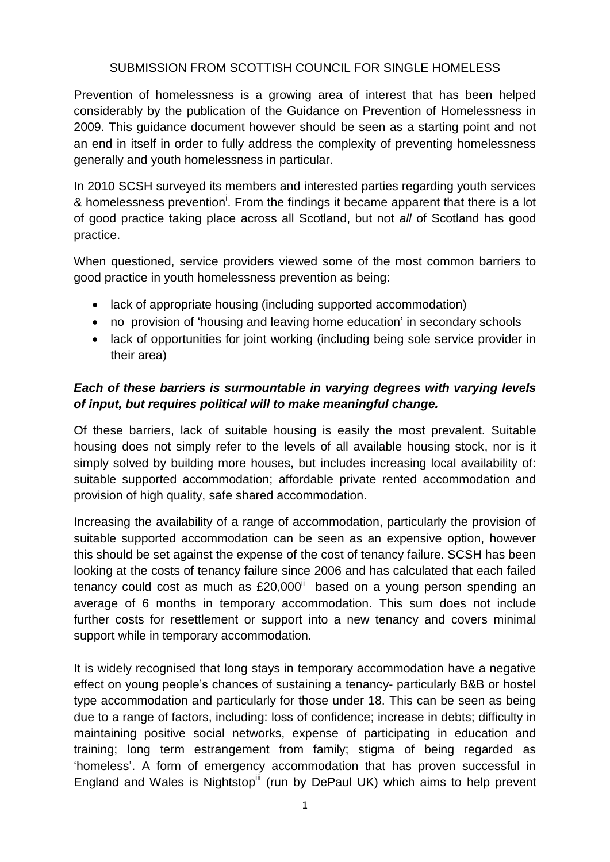#### SUBMISSION FROM SCOTTISH COUNCIL FOR SINGLE HOMELESS

Prevention of homelessness is a growing area of interest that has been helped considerably by the publication of the Guidance on Prevention of Homelessness in 2009. This guidance document however should be seen as a starting point and not an end in itself in order to fully address the complexity of preventing homelessness generally and youth homelessness in particular.

In 2010 SCSH surveyed its members and interested parties regarding youth services & homelessness prevention<sup>i</sup>. From the findings it became apparent that there is a lot of good practice taking place across all Scotland, but not *all* of Scotland has good practice.

When questioned, service providers viewed some of the most common barriers to good practice in youth homelessness prevention as being:

- lack of appropriate housing (including supported accommodation)
- no provision of 'housing and leaving home education' in secondary schools
- lack of opportunities for joint working (including being sole service provider in their area)

## *Each of these barriers is surmountable in varying degrees with varying levels of input, but requires political will to make meaningful change.*

Of these barriers, lack of suitable housing is easily the most prevalent. Suitable housing does not simply refer to the levels of all available housing stock, nor is it simply solved by building more houses, but includes increasing local availability of: suitable supported accommodation; affordable private rented accommodation and provision of high quality, safe shared accommodation.

Increasing the availability of a range of accommodation, particularly the provision of suitable supported accommodation can be seen as an expensive option, however this should be set against the expense of the cost of tenancy failure. SCSH has been looking at the costs of tenancy failure since 2006 and has calculated that each failed tenancy could cost as much as  $£20,000$ <sup>ii</sup> based on a young person spending an average of 6 months in temporary accommodation. This sum does not include further costs for resettlement or support into a new tenancy and covers minimal support while in temporary accommodation.

It is widely recognised that long stays in temporary accommodation have a negative effect on young people's chances of sustaining a tenancy- particularly B&B or hostel type accommodation and particularly for those under 18. This can be seen as being due to a range of factors, including: loss of confidence; increase in debts; difficulty in maintaining positive social networks, expense of participating in education and training; long term estrangement from family; stigma of being regarded as 'homeless'. A form of emergency accommodation that has proven successful in England and Wales is Nightstop<sup>iii</sup> (run by DePaul UK) which aims to help prevent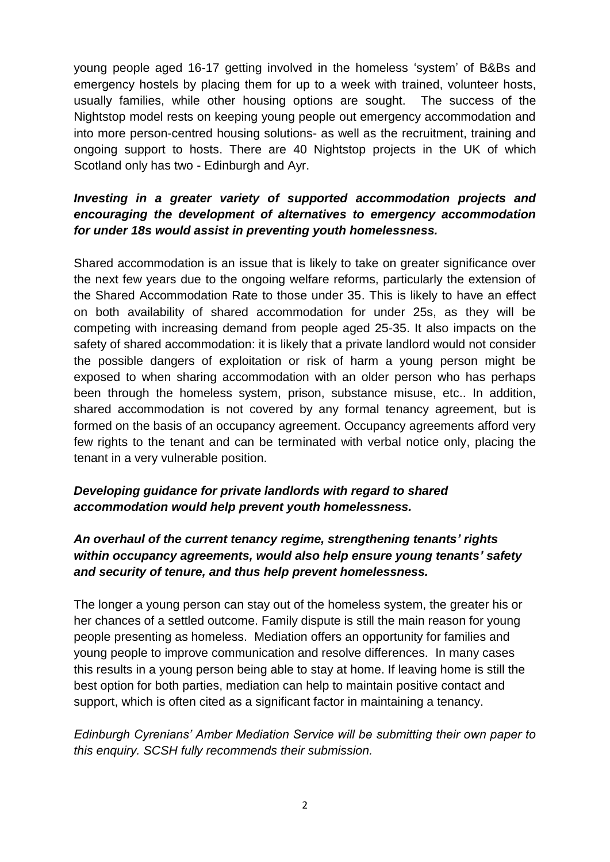young people aged 16-17 getting involved in the homeless 'system' of B&Bs and emergency hostels by placing them for up to a week with trained, volunteer hosts, usually families, while other housing options are sought. The success of the Nightstop model rests on keeping young people out emergency accommodation and into more person-centred housing solutions- as well as the recruitment, training and ongoing support to hosts. There are 40 Nightstop projects in the UK of which Scotland only has two - Edinburgh and Ayr.

## *Investing in a greater variety of supported accommodation projects and encouraging the development of alternatives to emergency accommodation for under 18s would assist in preventing youth homelessness.*

Shared accommodation is an issue that is likely to take on greater significance over the next few years due to the ongoing welfare reforms, particularly the extension of the Shared Accommodation Rate to those under 35. This is likely to have an effect on both availability of shared accommodation for under 25s, as they will be competing with increasing demand from people aged 25-35. It also impacts on the safety of shared accommodation: it is likely that a private landlord would not consider the possible dangers of exploitation or risk of harm a young person might be exposed to when sharing accommodation with an older person who has perhaps been through the homeless system, prison, substance misuse, etc.. In addition, shared accommodation is not covered by any formal tenancy agreement, but is formed on the basis of an occupancy agreement. Occupancy agreements afford very few rights to the tenant and can be terminated with verbal notice only, placing the tenant in a very vulnerable position.

## *Developing guidance for private landlords with regard to shared accommodation would help prevent youth homelessness.*

# *An overhaul of the current tenancy regime, strengthening tenants' rights within occupancy agreements, would also help ensure young tenants' safety and security of tenure, and thus help prevent homelessness.*

The longer a young person can stay out of the homeless system, the greater his or her chances of a settled outcome. Family dispute is still the main reason for young people presenting as homeless. Mediation offers an opportunity for families and young people to improve communication and resolve differences. In many cases this results in a young person being able to stay at home. If leaving home is still the best option for both parties, mediation can help to maintain positive contact and support, which is often cited as a significant factor in maintaining a tenancy.

#### *Edinburgh Cyrenians' Amber Mediation Service will be submitting their own paper to this enquiry. SCSH fully recommends their submission.*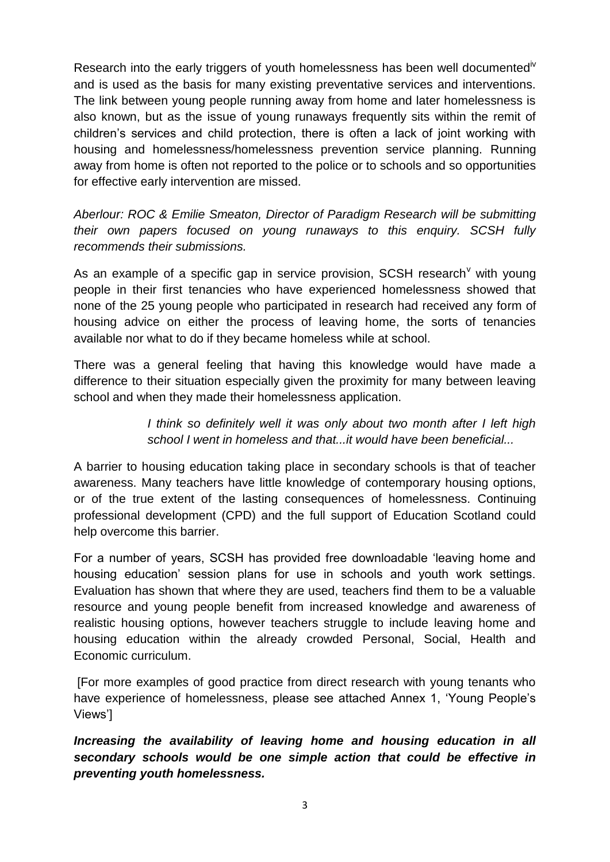Research into the early triggers of youth homelessness has been well documented<sup>iv</sup> and is used as the basis for many existing preventative services and interventions. The link between young people running away from home and later homelessness is also known, but as the issue of young runaways frequently sits within the remit of children's services and child protection, there is often a lack of joint working with housing and homelessness/homelessness prevention service planning. Running away from home is often not reported to the police or to schools and so opportunities for effective early intervention are missed.

*Aberlour: ROC & Emilie Smeaton, Director of Paradigm Research will be submitting their own papers focused on young runaways to this enquiry. SCSH fully recommends their submissions.*

As an example of a specific gap in service provision, SCSH research<sup> $\vee$ </sup> with young people in their first tenancies who have experienced homelessness showed that none of the 25 young people who participated in research had received any form of housing advice on either the process of leaving home, the sorts of tenancies available nor what to do if they became homeless while at school.

There was a general feeling that having this knowledge would have made a difference to their situation especially given the proximity for many between leaving school and when they made their homelessness application.

> *I think so definitely well it was only about two month after I left high school I went in homeless and that...it would have been beneficial...*

A barrier to housing education taking place in secondary schools is that of teacher awareness. Many teachers have little knowledge of contemporary housing options, or of the true extent of the lasting consequences of homelessness. Continuing professional development (CPD) and the full support of Education Scotland could help overcome this barrier.

For a number of years, SCSH has provided free downloadable 'leaving home and housing education' session plans for use in schools and youth work settings. Evaluation has shown that where they are used, teachers find them to be a valuable resource and young people benefit from increased knowledge and awareness of realistic housing options, however teachers struggle to include leaving home and housing education within the already crowded Personal, Social, Health and Economic curriculum.

[For more examples of good practice from direct research with young tenants who have experience of homelessness, please see attached Annex 1, 'Young People's Views']

*Increasing the availability of leaving home and housing education in all secondary schools would be one simple action that could be effective in preventing youth homelessness.*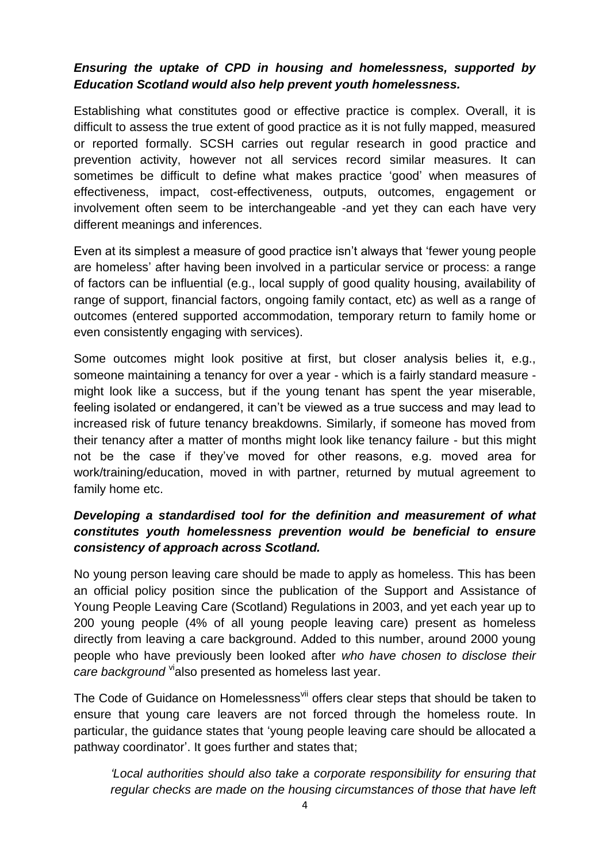## *Ensuring the uptake of CPD in housing and homelessness, supported by Education Scotland would also help prevent youth homelessness.*

Establishing what constitutes good or effective practice is complex. Overall, it is difficult to assess the true extent of good practice as it is not fully mapped, measured or reported formally. SCSH carries out regular research in good practice and prevention activity, however not all services record similar measures. It can sometimes be difficult to define what makes practice 'good' when measures of effectiveness, impact, cost-effectiveness, outputs, outcomes, engagement or involvement often seem to be interchangeable -and yet they can each have very different meanings and inferences.

Even at its simplest a measure of good practice isn't always that 'fewer young people are homeless' after having been involved in a particular service or process: a range of factors can be influential (e.g., local supply of good quality housing, availability of range of support, financial factors, ongoing family contact, etc) as well as a range of outcomes (entered supported accommodation, temporary return to family home or even consistently engaging with services).

Some outcomes might look positive at first, but closer analysis belies it, e.g., someone maintaining a tenancy for over a year - which is a fairly standard measure might look like a success, but if the young tenant has spent the year miserable, feeling isolated or endangered, it can't be viewed as a true success and may lead to increased risk of future tenancy breakdowns. Similarly, if someone has moved from their tenancy after a matter of months might look like tenancy failure - but this might not be the case if they've moved for other reasons, e.g. moved area for work/training/education, moved in with partner, returned by mutual agreement to family home etc.

## *Developing a standardised tool for the definition and measurement of what constitutes youth homelessness prevention would be beneficial to ensure consistency of approach across Scotland.*

No young person leaving care should be made to apply as homeless. This has been an official policy position since the publication of the Support and Assistance of Young People Leaving Care (Scotland) Regulations in 2003, and yet each year up to 200 young people (4% of all young people leaving care) present as homeless directly from leaving a care background. Added to this number, around 2000 young people who have previously been looked after *who have chosen to disclose their care background* <sup>vi</sup>also presented as homeless last year.

The Code of Guidance on Homelessness<sup>vii</sup> offers clear steps that should be taken to ensure that young care leavers are not forced through the homeless route. In particular, the guidance states that 'young people leaving care should be allocated a pathway coordinator'. It goes further and states that;

*'Local authorities should also take a corporate responsibility for ensuring that regular checks are made on the housing circumstances of those that have left*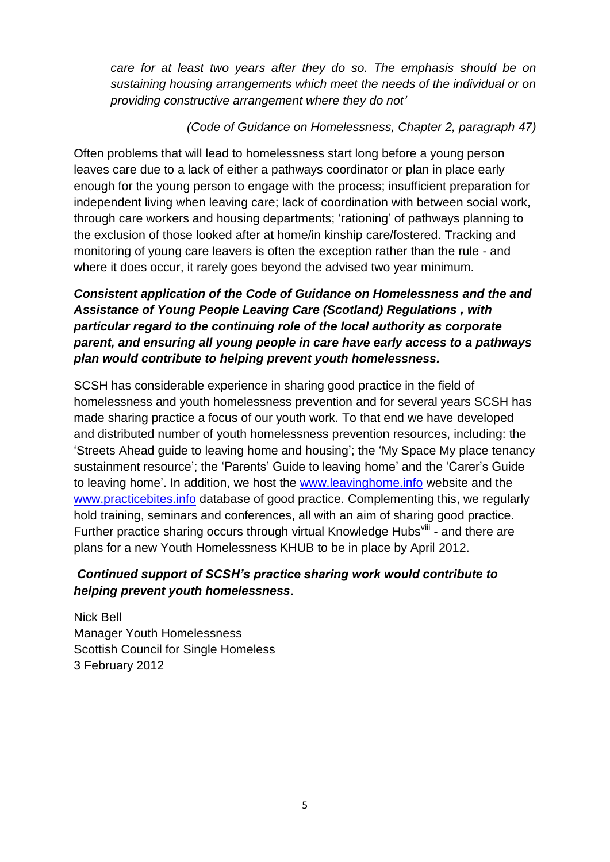*care for at least two years after they do so. The emphasis should be on sustaining housing arrangements which meet the needs of the individual or on providing constructive arrangement where they do not'*

#### *(Code of Guidance on Homelessness, Chapter 2, paragraph 47)*

Often problems that will lead to homelessness start long before a young person leaves care due to a lack of either a pathways coordinator or plan in place early enough for the young person to engage with the process; insufficient preparation for independent living when leaving care; lack of coordination with between social work, through care workers and housing departments; 'rationing' of pathways planning to the exclusion of those looked after at home/in kinship care/fostered. Tracking and monitoring of young care leavers is often the exception rather than the rule - and where it does occur, it rarely goes beyond the advised two year minimum.

# *Consistent application of the Code of Guidance on Homelessness and the and Assistance of Young People Leaving Care (Scotland) Regulations , with particular regard to the continuing role of the local authority as corporate parent, and ensuring all young people in care have early access to a pathways plan would contribute to helping prevent youth homelessness.*

SCSH has considerable experience in sharing good practice in the field of homelessness and youth homelessness prevention and for several years SCSH has made sharing practice a focus of our youth work. To that end we have developed and distributed number of youth homelessness prevention resources, including: the 'Streets Ahead guide to leaving home and housing'; the 'My Space My place tenancy sustainment resource'; the 'Parents' Guide to leaving home' and the 'Carer's Guide to leaving home'. In addition, we host the [www.leavinghome.info](http://www.leavinghome.info/) website and the [www.practicebites.info](http://www.practicebites.info/) database of good practice. Complementing this, we regularly hold training, seminars and conferences, all with an aim of sharing good practice. Further practice sharing occurs through virtual Knowledge Hubs<sup>viii</sup> - and there are plans for a new Youth Homelessness KHUB to be in place by April 2012.

## *Continued support of SCSH's practice sharing work would contribute to helping prevent youth homelessness*.

Nick Bell Manager Youth Homelessness Scottish Council for Single Homeless 3 February 2012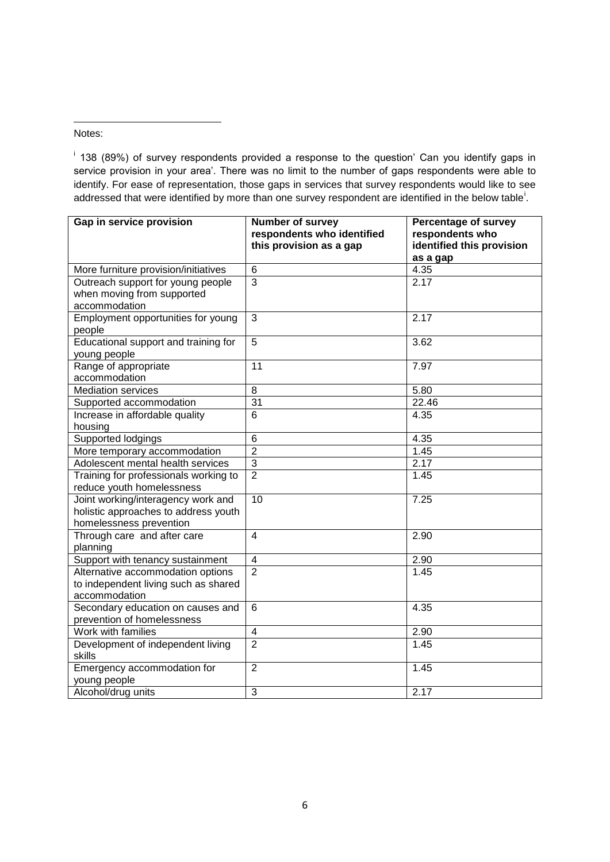#### Notes:

**.** 

<sup>i</sup> 138 (89%) of survey respondents provided a response to the question' Can you identify gaps in service provision in your area'. There was no limit to the number of gaps respondents were able to identify. For ease of representation, those gaps in services that survey respondents would like to see addressed that were identified by more than one survey respondent are identified in the below table<sup>i</sup>.

| Gap in service provision                     | <b>Number of survey</b><br>respondents who identified<br>this provision as a gap | <b>Percentage of survey</b><br>respondents who<br>identified this provision<br>as a gap |
|----------------------------------------------|----------------------------------------------------------------------------------|-----------------------------------------------------------------------------------------|
| More furniture provision/initiatives         | 6                                                                                | 4.35                                                                                    |
| Outreach support for young people            | $\overline{3}$                                                                   | 2.17                                                                                    |
| when moving from supported                   |                                                                                  |                                                                                         |
| accommodation                                |                                                                                  |                                                                                         |
| Employment opportunities for young<br>people | 3                                                                                | 2.17                                                                                    |
| Educational support and training for         | 5                                                                                | 3.62                                                                                    |
| young people                                 |                                                                                  |                                                                                         |
| Range of appropriate                         | 11                                                                               | 7.97                                                                                    |
| accommodation                                |                                                                                  |                                                                                         |
| <b>Mediation services</b>                    | 8                                                                                | 5.80                                                                                    |
| Supported accommodation                      | $\overline{31}$                                                                  | 22.46                                                                                   |
| Increase in affordable quality               | 6                                                                                | 4.35                                                                                    |
| housing                                      |                                                                                  |                                                                                         |
| Supported lodgings                           | 6                                                                                | 4.35                                                                                    |
| More temporary accommodation                 | $\overline{2}$                                                                   | 1.45                                                                                    |
| Adolescent mental health services            | 3                                                                                | 2.17                                                                                    |
| Training for professionals working to        | $\overline{2}$                                                                   | 1.45                                                                                    |
| reduce youth homelessness                    |                                                                                  |                                                                                         |
| Joint working/interagency work and           | $\overline{10}$                                                                  | 7.25                                                                                    |
| holistic approaches to address youth         |                                                                                  |                                                                                         |
| homelessness prevention                      |                                                                                  |                                                                                         |
| Through care and after care                  | 4                                                                                | 2.90                                                                                    |
| planning                                     |                                                                                  |                                                                                         |
| Support with tenancy sustainment             | 4                                                                                | 2.90                                                                                    |
| Alternative accommodation options            | $\overline{2}$                                                                   | 1.45                                                                                    |
| to independent living such as shared         |                                                                                  |                                                                                         |
| accommodation                                |                                                                                  |                                                                                         |
| Secondary education on causes and            | 6                                                                                | 4.35                                                                                    |
| prevention of homelessness                   |                                                                                  |                                                                                         |
| Work with families                           | $\overline{4}$                                                                   | 2.90                                                                                    |
| Development of independent living<br>skills  | $\overline{2}$                                                                   | 1.45                                                                                    |
| Emergency accommodation for                  | $\overline{2}$                                                                   | 1.45                                                                                    |
| young people                                 |                                                                                  |                                                                                         |
| Alcohol/drug units                           | $\overline{3}$                                                                   | 2.17                                                                                    |